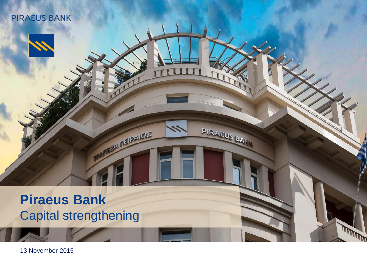## **Piraeus Bank** Capital strengthening

**A NEIPAIQE** 

PIRAEUS BA

**RANDA** 

13 November 2015

**PIRAEUS BANK**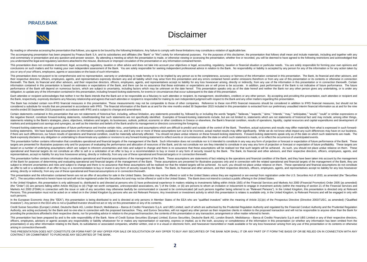## Disclaimer

By reading or otherwise accessing the presentation that follows, you agree to be bound by the following limitations. Any failure to comply with these limitations may constitute a violation of applicable law.

The accompanying presentation has been prepared by Piraeus Bank S.A. and its subsidiaries and affiliates (the "Bank" or "We") solely for informational purposes. For the purposes of this disclaimer, the presentation that fo oral commentary or presentation and any question-and-answer session. By attending a meeting at which the presentation is made, or otherwise viewing or accessing the presentation, whether live or recorded, you will be deeme you understand the legal and regulatory sanctions attached to the misuse, disclosure or improper circulation of the presentation or any information contained herein.

This presentation does not constitute investment, legal, accounting, regulatory, taxation or other advice and does not take into account your objectives or legal, accounting, regulatory, taxation or financial situation or conclusions on such matters and for making your own independent assessment of the Bank. You are solely responsible for seeking independent professional advice in relation to the Bank. No responsibility or liability is acce you or any of your officers, employees, agents or associates on the basis of such information.

This presentation does not purport to be comprehensive and no representation, warranty or undertaking is made hereby or is to be implied by any person as to the completeness, accuracy or fairness of the information contain their respective directors, officers, employees, agents, and representatives expressly disclaim any and all liability which may arise from this presentation and any errors contained herein and/or omissions therefrom or fro therewith. The Bank, its financial and other advisors, and their respective directors, officers, employees, agents, and representatives accept no liability for any loss howsoever arising, directly or indirectly, from any u information contained in this presentation is based on estimates or expectations of the Bank, and there can be no assurance that these estimates or expectations are or will prove to be accurate. In addition, past performan performance of the Bank will depend on numerous factors, which are subject to uncertainty, including factors which may be unknown on the date hereof. This presentation speaks only as of the date hereof and neither the Bank obligation, to update any of the information contained in this presentation, including forward-looking statements, for events or circumstances that occur subsequent to the date of this presentation.

Each attendee or recipient acknowledges that neither it nor the Bank intends that the Bank act or be responsible as a fiduciary to such attendee or recipient, its management, stockholders, creditors or any other person. By the Bank, respectively, expressly disclaims any fiduciary relationship and agrees that each attendee or recipient is responsible for making its own independent judgment with respect to the Bank and any other matters regard

The Bank has included certain non-IFRS financial measures in this presentation. These measurements may not be comparable to those of other companies. Reference to these non-IFRS financial measures should be considered in a considered a substitute for results that are presented in accordance with IFRS. The financial information of the Bank as at and for the nine months ended 30 September 2015 included in this presentation is extracted from ou months ended 30 September 2015 prepared in accordance with IFRS and is subject to change and amendment.

Certain statements contained in this presentation that are not statements of historical fact, including, without limitation, any statements preceded by, followed by or including the words "targets," "believes," "expects," the negative thereof, constitute forward-looking statements, notwithstanding that such statements are not specifically identified. Examples of forward-looking statements include, but are not limited to, statements which ar statements relating to the Bank's strategies, plans, objectives, initiatives and targets, its businesses, outlook, political, economic or other conditions in Greece or elsewhere, the Bank's financial condition, results of markets and anticipated cost savings and synergies, as well as the intention and beliefs of the Bank and/or its management or directors concerning the foregoing.

Forward-looking statements are not quarantees of future performance and involve certain risks, uncertainties and assumptions which are difficult to predict and outside of the control of the Bank. Therefore, actual outcomes looking statements. We have based these assumptions on information currently available to us, and if any one or more of these assumptions turn out to be incorrect, actual market results may differ significantly. While we d if there are such differences, our future results of operations and financial condition, could be materially adversely affected. You should not place undue reliance on these forward-looking statements. Forward-looking stat Bank expressly disclaims any obligation or undertaking to disseminate any updates or revisions to any forward-looking statement to reflect events or circumstances after the date on which such statement is made, or to refle

This presentation further contains information that constitutes operational and financial targets of the management of the Bank. Such information does not constitute nor is it intended to constitute in any way any form of targets are presented for illustrative purposes only and for purposes of evaluating the performance and allocation of resources of the Bank, and do not constitute nor are they intended to constitute in any way any form of based on a number of underlying assumptions which are subject to inherent uncertainties and risks and subject to change and there is no assurance that these assumptions will be realised nor that such fargets will be achiev operational and financial targets do not constitute an offer to sell or a solicitation of an offer to buy or a recommendation to buy or invest in any form of security issued by the Bank. The Bank, its financial and other a representatives, accept no liability for any loss howsoever arising, directly or indirectly, from any use of these operational and financial targets or in connection therewith.

This presentation further contains information that constitutes operational and financial assumptions of the management of the Bank. These assumptions are statements of fact relating to the poerations and financial conditi of the Bank for purposes of determining and evaluating operational and financial targets of the management of the Bank. These assumptions are presented for illustrative purposes only and in connection with the related oper subject to inherent uncertainties and risks and subject to change and there is no assurance that these assumptions will be realised nor that the related targets will be achieved. As such, you should not place undue relianc an offer to sell or a solicitation of an offer to buy or a recommendation to buy or invest in any form of security issued by the Bank. The Bank, its financial and other advisors, and their respective directors, officers, e arising, directly or indirectly, from any use of these operational and financial assumptions or in connection therewith.

This presentation and the information contained herein are not an offer of securities for sale in the United States. Securities may not be offered or sold in the United States unless they are registered or are exempt from Act"). The securities referred to herein have not and will not be registered under the Securities Act and may not be offered or sold in the United States. The Bank does not intend to conduct a public offering in the United

In the United Kingdom, this presentation is only addressed to, distributed to and directed at persons who (i) have professional experience in matters relation to investments falling within Article 19(5) of the Financial Se (the "Order") (ii) are persons falling within Article 49(2)(a) to (d) ("high net worth companies, unincorporated associations, etc.") of the Order, or (iii) are persons to whom an invitation or inducement to engage in inve Markets Act 2000 (FSMA) in connection with the issue or sale of any securities may otherwise lawfully be communicated or caused to be communicated (all such persons together being referred to as "Relevant Persons"). In the Persons. This presentation must not be acted on or relied on in the United Kingdom by persons who are not Relevant Persons. Any investment or investment or investment activity to which this presentation is relates is avail such persons.

In the European Economic Area (the "EEA"), this presentation is being distributed to and is directed at only persons in Member States of the EEA who are "qualified investors" within the meaning of Article 2(1)(e) of the Pr Investors"). Any person in the EEA who is not a Qualified Investor should not act or rely on this presentation or any of its contents.

Credit Suisse Securities (Europe) Limited, Deutsche Bank AG, London Branch, Mediobanca - Banca di Credito Finanziario S.p.A. and UBS Limited, each of which are authorised by the Prudential Regulation Authority and requilat Authority, are acting exclusively for the Bank and no-one else in connection with the proposed transaction. They, and Euroxx Securities, will not regard any other person as their respective clients in relation to the propo providing the protections afforded to their respective clients, nor for providing advice in relation to the proposed transaction, the contents of this presentation or any transaction, arrangement or other matter referred t

This presentation has been prepared by and is the sole responsibility of the Bank. None of Credit Suisse Securities (Europe) Limited. Euroxx Securities. Deutsche Bank AG. London Branch. Mediobanca - Banca di Credito Finanz officers, employees, advisers or agents accepts any responsibility or liability whatsoever for or makes any representation or warranty, express or implied, as to the truth, accuracy or completeness of the information in th presentation) or any other information relating to the Bank, its subsidiaries or associated companies, whether written, oral or in a yisual or electronic form, and howsoever transmitted or made available or for any loss ho arising in connection therewith.

THIS PRESENTATION DOES NOT CONSTITUTE OR FORM PART OF ANY OFFER FOR SALE OR SOLICITATION OF ANY OFFER TO BUY ANY SECURITIES OF THE BANK NOR SHALL IT OR ANY PART OF IT FORM THE BASIS OF OR BE RELIED ON IN CONNECTION WITH AN CONTRACT OR COMMITMENT TO PURCHASE ANY SECURITIES OF THE BANK.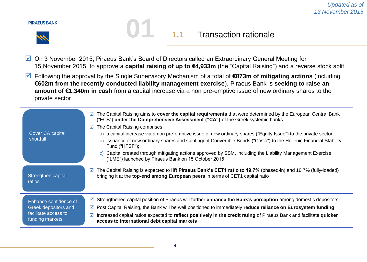

## **1.1** Transaction rationale

- On 3 November 2015, Piraeus Bank's Board of Directors called an Extraordinary General Meeting for 15 November 2015, to approve a **capital raising of up to €4,933m** (the "Capital Raising") and a reverse stock split
- Following the approval by the Single Supervisory Mechanism of a total of **€873m of mitigating actions** (including **€602m from the recently conducted liability management exercise**), Piraeus Bank is **seeking to raise an amount of €1,340m in cash** from a capital increase via a non pre-emptive issue of new ordinary shares to the private sector

| Cover CA capital<br>shortfall                                                            | The Capital Raising aims to cover the capital requirements that were determined by the European Central Bank<br>⊻<br>("ECB") under the Comprehensive Assessment ("CA") of the Greek systemic banks<br>The Capital Raising comprises:<br>$\triangledown$<br>a) a capital increase via a non pre-emptive issue of new ordinary shares ("Equity Issue") to the private sector;<br>issuance of new ordinary shares and Contingent Convertible Bonds ("CoCo") to the Hellenic Financial Stability<br>b)<br>Fund ("HFSF");<br>Capital created through mitigating actions approved by SSM, including the Liability Management Exercise<br>$\mathcal{C}$<br>("LME") launched by Piraeus Bank on 15 October 2015 |
|------------------------------------------------------------------------------------------|---------------------------------------------------------------------------------------------------------------------------------------------------------------------------------------------------------------------------------------------------------------------------------------------------------------------------------------------------------------------------------------------------------------------------------------------------------------------------------------------------------------------------------------------------------------------------------------------------------------------------------------------------------------------------------------------------------|
| Strengthen capital<br>ratios                                                             | The Capital Raising is expected to lift Piraeus Bank's CET1 ratio to 19.7% (phased-in) and 18.7% (fully-loaded)<br>☑<br>bringing it at the top-end among European peers in terms of CET1 capital ratio                                                                                                                                                                                                                                                                                                                                                                                                                                                                                                  |
| Enhance confidence of<br>Greek depositors and<br>facilitate access to<br>funding markets | Strengthened capital position of Piraeus will further <b>enhance the Bank's perception</b> among domestic depositors<br>⊻<br>Post Capital Raising, the Bank will be well positioned to immediately reduce reliance on Eurosystem funding<br>M<br>Increased capital ratios expected to reflect positively in the credit rating of Piraeus Bank and facilitate quicker<br>access to international debt capital markets                                                                                                                                                                                                                                                                                    |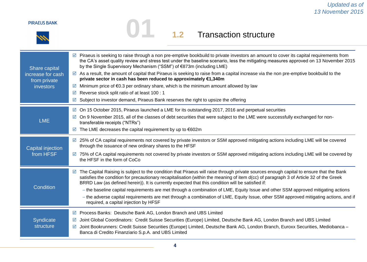# **01 1.2** Transaction structure

| Share capital<br>increase for cash<br>from private<br><i>investors</i> | $\boxtimes$ Piraeus is seeking to raise through a non pre-emptive bookbuild to private investors an amount to cover its capital requirements from<br>the CA's asset quality review and stress test under the baseline scenario, less the mitigating measures approved on 13 November 2015<br>by the Single Supervisory Mechanism ("SSM") of €873m (including LME)<br>⊠ As a result, the amount of capital that Piraeus is seeking to raise from a capital increase via the non pre-emptive bookbuild to the<br>private sector in cash has been reduced to approximately €1,340m<br>Minimum price of €0.3 per ordinary share, which is the minimum amount allowed by law<br>☑<br>Reverse stock split ratio of at least 100 : 1<br>☑<br>Subject to investor demand, Piraeus Bank reserves the right to upsize the offering<br>☑ |
|------------------------------------------------------------------------|-------------------------------------------------------------------------------------------------------------------------------------------------------------------------------------------------------------------------------------------------------------------------------------------------------------------------------------------------------------------------------------------------------------------------------------------------------------------------------------------------------------------------------------------------------------------------------------------------------------------------------------------------------------------------------------------------------------------------------------------------------------------------------------------------------------------------------|
| <b>LME</b>                                                             | $\boxtimes$ On 15 October 2015, Piraeus launched a LME for its outstanding 2017, 2016 and perpetual securities<br>On 9 November 2015, all of the classes of debt securities that were subject to the LME were successfully exchanged for non-<br>☑<br>transferable receipts ("NTRs")<br>The LME decreases the capital requirement by up to $€602m$<br>☑                                                                                                                                                                                                                                                                                                                                                                                                                                                                       |
| Capital injection<br>from HFSF                                         | 25% of CA capital requirements not covered by private investors or SSM approved mitigating actions including LME will be covered<br>☑<br>through the issuance of new ordinary shares to the HFSF<br>75% of CA capital requirements not covered by private investors or SSM approved mitigating actions including LME will be covered by<br>☑<br>the HFSF in the form of CoCo                                                                                                                                                                                                                                                                                                                                                                                                                                                  |
| Condition                                                              | ⊠ The Capital Raising is subject to the condition that Piraeus will raise through private sources enough capital to ensure that the Bank<br>satisfies the condition for precautionary recapitalisation (within the meaning of item d(cc) of paragraph 3 of Article 32 of the Greek<br>BRRD Law (as defined herein)). It is currently expected that this condition will be satisfied if:<br>- the baseline capital requirements are met through a combination of LME, Equity Issue and other SSM approved mitigating actions<br>- the adverse capital requirements are met through a combination of LME, Equity Issue, other SSM approved mitigating actions, and if<br>required, a capital injection by HFSF                                                                                                                  |
| Syndicate<br>structure                                                 | Process Banks: Deutsche Bank AG, London Branch and UBS Limited<br>☑<br>Joint Global Coordinators: Credit Suisse Securities (Europe) Limited, Deutsche Bank AG, London Branch and UBS Limited<br>☑<br>Joint Bookrunners: Credit Suisse Securities (Europe) Limited, Deutsche Bank AG, London Branch, Euroxx Securities, Mediobanca -<br>☑<br>Banca di Credito Finanziario S.p.A. and UBS Limited                                                                                                                                                                                                                                                                                                                                                                                                                               |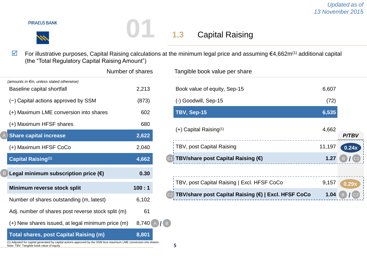For illustrative purposes, Capital Raising calculations at the minimum legal price and assuming €4,662m(1) additional capital (the "Total Regulatory Capital Raising Amount")

**01 1.3** Capital Raising

|                                                                                                                                                                    | Number of shares |
|--------------------------------------------------------------------------------------------------------------------------------------------------------------------|------------------|
| (amounts in $\epsilon$ m, unless stated otherwise)<br>Baseline capital shortfall                                                                                   | 2,213            |
| $(-)$ Capital actions approved by SSM                                                                                                                              | (873)            |
| (+) Maximum LME conversion into shares                                                                                                                             | 602              |
| (+) Maximum HFSF shares                                                                                                                                            | 680              |
| <b>Share capital increase</b>                                                                                                                                      | 2,622            |
| (+) Maximum HFSF CoCo                                                                                                                                              | 2,040            |
| <b>Capital Raising(1)</b>                                                                                                                                          | 4,662            |
| Legal minimum subscription price $(\epsilon)$                                                                                                                      | 0.30             |
| Minimum reverse stock split                                                                                                                                        | 100:1            |
| Number of shares outstanding (m, latest)                                                                                                                           | 6,102            |
| Adj. number of shares post reverse stock split (m)                                                                                                                 | 61               |
| (+) New shares issued, at legal minimum price (m)                                                                                                                  | 8,740            |
| <b>Total shares, post Capital Raising (m)</b><br>(1) Adjusted for capital generated by capital actions approved by the SSM less maximum LME conversion into shares | 8,801            |
| Note: TBV: Tangible book value of equity                                                                                                                           |                  |

| Number of shares | Tangible book value per share                        |        |              |  |
|------------------|------------------------------------------------------|--------|--------------|--|
| 2,213            | Book value of equity, Sep-15                         | 6,607  |              |  |
| (873)            | (-) Goodwill, Sep-15                                 | (72)   |              |  |
| 602              | TBV, Sep-15                                          | 6,535  |              |  |
| 680              |                                                      |        |              |  |
| 2,622            | $(+)$ Capital Raising <sup>(1)</sup>                 | 4,662  | <b>P/TBV</b> |  |
| 2,040            | TBV, post Capital Raising                            | 11,197 | 0.24x        |  |
| 4,662            | TBV/share post Capital Raising (€)<br>C <sub>1</sub> | 1.27   | B.           |  |
| 0.30             |                                                      |        |              |  |
| 100:1            | TBV, post Capital Raising   Excl. HFSF CoCo          | 9,157  | 0.29x        |  |
| $C$ 100          | TBV/share post Capital Raising (€)   Excl. HFSF CoCo | 1.04   | B.           |  |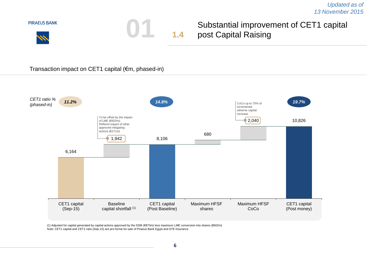*Updated as of 13 November 2015*



Transaction impact on CET1 capital (€m, phased-in)



(1) Adjusted for capital generated by capital actions approved by the SSM (€873m) less maximum LME conversion into shares (€602m) Note: CET1 capital and CET1 ratio (Sep-15) are pro-forma for sale of Piraeus Bank Egypt and ATE Insurance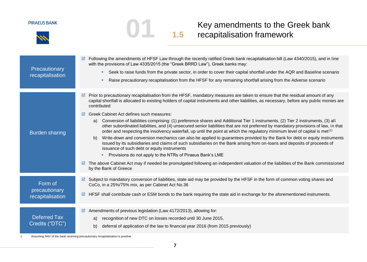

# **1.5** Key amendments to the Greek bank<br> **1.5** recapitalisation framework

| Precautionary<br>recapitalisation            | Following the amendments of HFSF Law through the recently ratified Greek bank recapitalisation bill (Law 4340/2015), and in line<br>☑<br>with the provisions of Law 4335/2015 (the "Greek BRRD Law"), Greek banks may:<br>Seek to raise funds from the private sector, in order to cover their capital shortfall under the AQR and Baseline scenario<br>m.<br>Raise precautionary recapitalisation from the HFSF for any remaining shortfall arising from the Adverse scenario<br>٠                                                                                                                                                                                                                                                                                                                                                                                                                                                                                                                                                                                                                                                                                                                                                                                                                                   |
|----------------------------------------------|-----------------------------------------------------------------------------------------------------------------------------------------------------------------------------------------------------------------------------------------------------------------------------------------------------------------------------------------------------------------------------------------------------------------------------------------------------------------------------------------------------------------------------------------------------------------------------------------------------------------------------------------------------------------------------------------------------------------------------------------------------------------------------------------------------------------------------------------------------------------------------------------------------------------------------------------------------------------------------------------------------------------------------------------------------------------------------------------------------------------------------------------------------------------------------------------------------------------------------------------------------------------------------------------------------------------------|
| <b>Burden sharing</b>                        | Prior to precautionary recapitalisation from the HFSF, mandatory measures are taken to ensure that the residual amount of any<br>☑<br>capital shortfall is allocated to existing holders of capital instruments and other liabilities, as necessary, before any public monies are<br>contributed<br>Greek Cabinet Act defines such measures:<br>☑<br>Conversion of liabilities comprising: (1) preference shares and Additional Tier 1 instruments, (2) Tier 2 instruments, (3) all<br>a)<br>other subordinated liabilities, and (4) unsecured senior liabilities that are not preferred by mandatory provisions of law, in that<br>order and respecting the insolvency waterfall, up until the point at which the regulatory minimum level of capital is met <sup>(1)</sup><br>Write-down and conversion mechanics can also be applied to guarantees provided by the Bank for debt or equity instruments<br>b)<br>issued by its subsidiaries and claims of such subsidiaries on the Bank arising from on-loans and deposits of proceeds of<br>issuance of such debt or equity instruments<br>Provisions do not apply to the NTRs of Piraeus Bank's LME<br>The above Cabinet Act may if needed be promulgated following an independent valuation of the liabilities of the Bank commissioned<br>by the Bank of Greece |
| Form of<br>precautionary<br>recapitalisation | Subject to mandatory conversion of liabilities, state aid may be provided by the HFSF in the form of common voting shares and<br>☑<br>CoCo, in a 25%/75% mix, as per Cabinet Act No.36<br>HFSF shall contribute cash or ESM bonds to the bank requiring the state aid in exchange for the aforementioned instruments.<br>☑                                                                                                                                                                                                                                                                                                                                                                                                                                                                                                                                                                                                                                                                                                                                                                                                                                                                                                                                                                                            |
| <b>Deferred Tax</b><br>Credits ("DTC")       | Amendments of previous legislation (Law 4172/2013), allowing for:<br>☑<br>recognition of new DTC on losses recorded until 30 June 2015,<br>a)<br>deferral of application of the law to financial year 2016 (from 2015 previously)<br>b)                                                                                                                                                                                                                                                                                                                                                                                                                                                                                                                                                                                                                                                                                                                                                                                                                                                                                                                                                                                                                                                                               |

1. Assuming NAV of the bank receiving precautionary recapitalisation is positive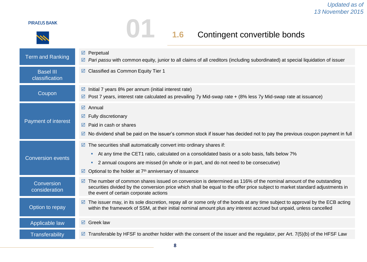# **01 1.6** Contingent convertible bonds

| <b>Term and Ranking</b>            | ☑<br>Perpetual<br>Pari passu with common equity, junior to all claims of all creditors (including subordinated) at special liquidation of issuer<br>☑                                                                                                                                                                                                  |
|------------------------------------|--------------------------------------------------------------------------------------------------------------------------------------------------------------------------------------------------------------------------------------------------------------------------------------------------------------------------------------------------------|
| <b>Basel III</b><br>classification | Classified as Common Equity Tier 1<br>☑                                                                                                                                                                                                                                                                                                                |
| Coupon                             | Initial 7 years 8% per annum (initial interest rate)<br>☑<br>Post 7 years, interest rate calculated as prevailing 7y Mid-swap rate + (8% less 7y Mid-swap rate at issuance)<br>⊻                                                                                                                                                                       |
| Payment of interest                | $\boxtimes$ Annual<br>Fully discretionary<br>☑<br>Paid in cash or shares<br>☑<br>No dividend shall be paid on the issuer's common stock if issuer has decided not to pay the previous coupon payment in full<br>☑                                                                                                                                      |
| <b>Conversion events</b>           | The securities shall automatically convert into ordinary shares if:<br>☑<br>At any time the CET1 ratio, calculated on a consolidated basis or a solo basis, falls below 7%<br>ш<br>2 annual coupons are missed (in whole or in part, and do not need to be consecutive)<br>ш<br>Optional to the holder at 7 <sup>th</sup> anniversary of issuance<br>☑ |
| Conversion<br>consideration        | The number of common shares issued on conversion is determined as 116% of the nominal amount of the outstanding<br>☑<br>securities divided by the conversion price which shall be equal to the offer price subject to market standard adjustments in<br>the event of certain corporate actions                                                         |
| Option to repay                    | The issuer may, in its sole discretion, repay all or some only of the bonds at any time subject to approval by the ECB acting<br>☑<br>within the framework of SSM, at their initial nominal amount plus any interest accrued but unpaid, unless cancelled                                                                                              |
| Applicable law                     | ☑ Greek law                                                                                                                                                                                                                                                                                                                                            |
| <b>Transferability</b>             | Transferable by HFSF to another holder with the consent of the issuer and the regulator, per Art. 7(5)(b) of the HFSF Law<br>☑                                                                                                                                                                                                                         |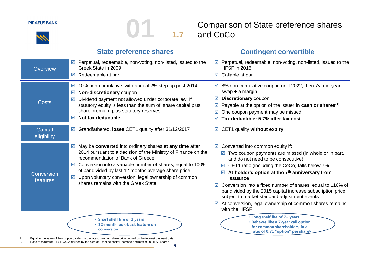**1.7** Comparison of State preference shares

|                        | <b>State preference shares</b>                                                                                                                                                                                           | <b>Contingent convertible</b>                                                                                                                                                  |
|------------------------|--------------------------------------------------------------------------------------------------------------------------------------------------------------------------------------------------------------------------|--------------------------------------------------------------------------------------------------------------------------------------------------------------------------------|
| Overview               | $\triangleright$ Perpetual, redeemable, non-voting, non-listed, issued to the<br>Greek State in 2009                                                                                                                     | $\triangleright$ Perpetual, redeemable, non-voting, non-listed, issued to the<br><b>HFSF</b> in 2015                                                                           |
|                        | $\triangleright$ Redeemable at par                                                                                                                                                                                       | $\boxtimes$ Callable at par                                                                                                                                                    |
|                        | 10% non-cumulative, with annual 2% step-up post 2014<br>☑<br>Non-discretionary coupon<br>☑                                                                                                                               | $\boxtimes$ 8% non-cumulative coupon until 2022, then 7y mid-year<br>$swap + a$ margin                                                                                         |
|                        | $\boxtimes$ Dividend payment not allowed under corporate law, if                                                                                                                                                         | <b>Discretionary coupon</b><br>☑                                                                                                                                               |
| Costs                  | statutory equity is less than the sum of: share capital plus                                                                                                                                                             | Payable at the option of the issuer in cash or shares <sup>(1)</sup><br>M                                                                                                      |
|                        | share premium plus statutory reserves                                                                                                                                                                                    | One coupon payment may be missed                                                                                                                                               |
|                        | $\boxtimes$ Not tax deductible                                                                                                                                                                                           | Tax deductible: 5.7% after tax cost                                                                                                                                            |
| Capital<br>eligibility | ☑ Grandfathered, loses CET1 quality after 31/12/2017                                                                                                                                                                     | ☑ CET1 quality without expiry                                                                                                                                                  |
|                        | $\boxtimes$ May be converted into ordinary shares at any time after                                                                                                                                                      | $\boxtimes$ Converted into common equity if:                                                                                                                                   |
|                        | 2014 pursuant to a decision of the Ministry of Finance on the<br>recommendation of Bank of Greece                                                                                                                        | $\triangleright$ Two coupon payments are missed (in whole or in part,<br>and do not need to be consecutive)                                                                    |
|                        | $\boxtimes$ Conversion into a variable number of shares, equal to 100%                                                                                                                                                   | $\boxtimes$ CET1 ratio (including the CoCo) falls below 7%                                                                                                                     |
| Conversion<br>features | of par divided by last 12 months average share price<br>$\triangledown$ Upon voluntary conversion, legal ownership of common<br>shares remains with the Greek State                                                      | At holder's option at the 7 <sup>th</sup> anniversary from<br>☑<br>issuance                                                                                                    |
|                        |                                                                                                                                                                                                                          | Conversion into a fixed number of shares, equal to 116% of<br>☑<br>par divided by the 2015 capital increase subscription price<br>subject to market standard adjustment events |
|                        |                                                                                                                                                                                                                          | $\boxtimes$ At conversion, legal ownership of common shares remains<br>with the HFSF                                                                                           |
|                        | • Short shelf life of 2 years<br>• 12-month look-back feature on<br>conversion                                                                                                                                           | . Long shelf life of 7+ years<br>• Behaves like a 7-year call option<br>for common shareholders, in a<br>ratio of 0.71 "option" per share <sup>(2)</sup>                       |
|                        | Equal to the value of the coupon divided by the latest common share price quoted on the interest payment date<br>Ratio of maximum HFSF CoCo divided by the sum of Baseline capital increase and maximum HFSF shares<br>q |                                                                                                                                                                                |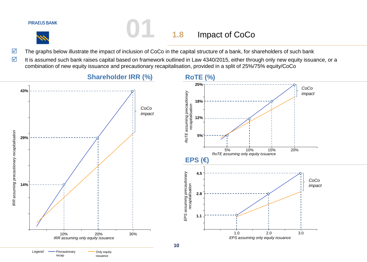## **01 1.8** Impact of CoCo

- The graphs below illustrate the impact of inclusion of CoCo in the capital structure of a bank, for shareholders of such bank
- It is assumed such bank raises capital based on framework outlined in Law 4340/2015, either through only new equity issuance, or a combination of new equity issuance and precautionary recapitalisation, provided in a split of 25%/75% equity/CoCo

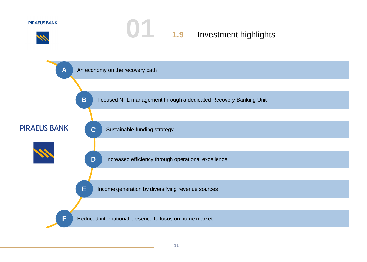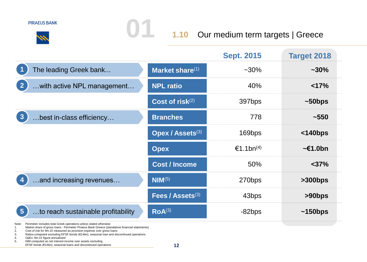**01 1.10** Our medium term targets | Greece

|                                                                                                                                                                             |                      | <b>Sept. 2015</b>     | <b>Target 2018</b> |
|-----------------------------------------------------------------------------------------------------------------------------------------------------------------------------|----------------------|-----------------------|--------------------|
| The leading Greek bank                                                                                                                                                      | Market share(1)      | $~10\%$               | $~1.30\%$          |
| $\overline{2}$<br>with active NPL management                                                                                                                                | <b>NPL ratio</b>     | 40%                   | <17%               |
|                                                                                                                                                                             | Cost of risk $(2)$   | 397bps                | $~50$ bps          |
| 3<br>best in-class efficiency                                                                                                                                               | <b>Branches</b>      | 778                   | ~1550              |
|                                                                                                                                                                             | Opex / Assets(3)     | 169bps                | $<$ 140bps         |
|                                                                                                                                                                             | <b>Opex</b>          | €1.1bn <sup>(4)</sup> | $\sim$ £1.0bn      |
|                                                                                                                                                                             | <b>Cost / Income</b> | 50%                   | $<$ 37%            |
| .and increasing revenues                                                                                                                                                    | $NIM^{(5)}$          | 270bps                | >300bps            |
|                                                                                                                                                                             | Fees / Assets(3)     | 43bps                 | $>90$ bps          |
| to reach sustainable profitability<br>$5\phantom{1}$                                                                                                                        | ROA <sup>(3)</sup>   | $-82$ bps             | $~150$ bps         |
| Perimeter includes total Greek operations unless stated otherwise<br>Note:<br>Market share of gross loans - Perimeter Piraeus Bank Greece (standalone financial statements) |                      |                       |                    |

4. OpEx: 9m.15 figure annualised<br>5. NIM computed as net interest in

NIM computed as net interest income over assets excluding

EFSF bonds (€14bn), seasonal loans and discontinued operations

<sup>1.</sup> Market share of gross loans - Perimeter Piraeus Bank Greece (standalone financial statements)<br>2. Cost of risk for 9m.15 measured as provision expense over gross loans<br>3. Ratios computed excludi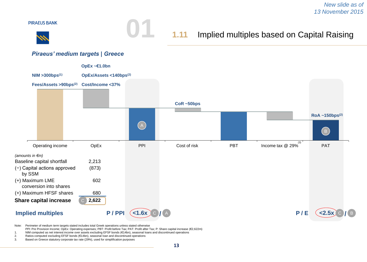

Note: Perimeter of medium term targets stated includes total Greek operations unless stated otherwise

- PPI: Pre Provision Income; OpEx: Operating expenses; PBT: Profit before Tax; PAT: Profit after Tax; P: Share capital increase (€2,622m)
- 1. NIM computed as net interest income over assets excluding EFSF bonds (€14bn), seasonal loans and discontinued operations
- 2. Ratios computed excluding EFSF bonds (€14bn), seasonal loan and discontinued operations
- Based on Greece statutory corporate tax rate (29%), used for simplification purposes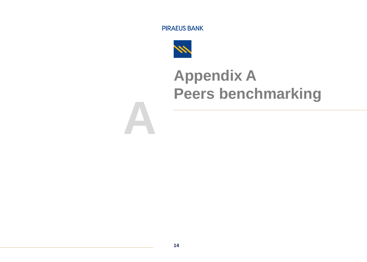

**A**

## **Appendix A Peers benchmarking**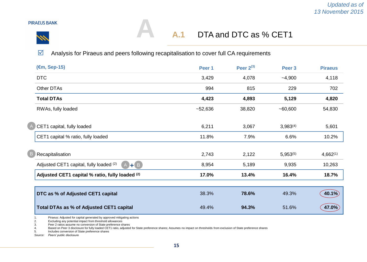

 $\overline{C}$ 

## DTA and DTC as % CET1 **A.1**

 $\blacksquare$  Analysis for Piraeus and peers following recapitalisation to cover full CA requirements

**A**

| (€m, Sep-15)                                             | Peer 1    | Peer $2^{(3)}$ | Peer 3        | <b>Piraeus</b> |
|----------------------------------------------------------|-----------|----------------|---------------|----------------|
| <b>DTC</b>                                               | 3,429     | 4,078          | $-4,900$      | 4,118          |
| Other DTAs                                               | 994       | 815            | 229           | 702            |
| <b>Total DTAs</b>                                        | 4,423     | 4,893          | 5,129         | 4,820          |
| RWAs, fully loaded                                       | $-52,636$ | 38,820         | $-60,600$     | 54,830         |
|                                                          |           |                |               |                |
| CET1 capital, fully loaded                               | 6,211     | 3,067          | $3,983^{(4)}$ | 5,601          |
| CET1 capital % ratio, fully loaded                       | 11.8%     | 7.9%           | 6.6%          | 10.2%          |
|                                                          |           |                |               |                |
| Recapitalisation                                         | 2,743     | 2,122          | $5,953^{(5)}$ | $4,662^{(1)}$  |
| $(A)$ + $(B)$<br>Adjusted CET1 capital, fully loaded (2) | 8,954     | 5,189          | 9,935         | 10,263         |
| Adjusted CET1 capital % ratio, fully loaded (2)          | 17.0%     | 13.4%          | 16.4%         | 18.7%          |
|                                                          |           |                |               |                |
| DTC as % of Adjusted CET1 capital                        | 38.3%     | 78.6%          | 49.3%         | 40.1%          |
| Total DTAs as % of Adjusted CET1 capital                 | 49.4%     | 94.3%          | 51.6%         | 47.0%          |

1. Piraeus: Adjusted for capital generated by approved mitigating actions

2. Excluding any potential impact from threshold allowances<br>3. Peer 2 ratios assume no conversion of State preference sh

3. Peer 2 ratios assume no conversion of State preference shares

4. Based on Peer 3 disclosure for fully loaded CET1 ratio, adjusted for State preference shares; Assumes no impact on thresholds from exclusion of State preference shares

5. Includes conversion of State preference shares

*Source: Peers' public disclosure*